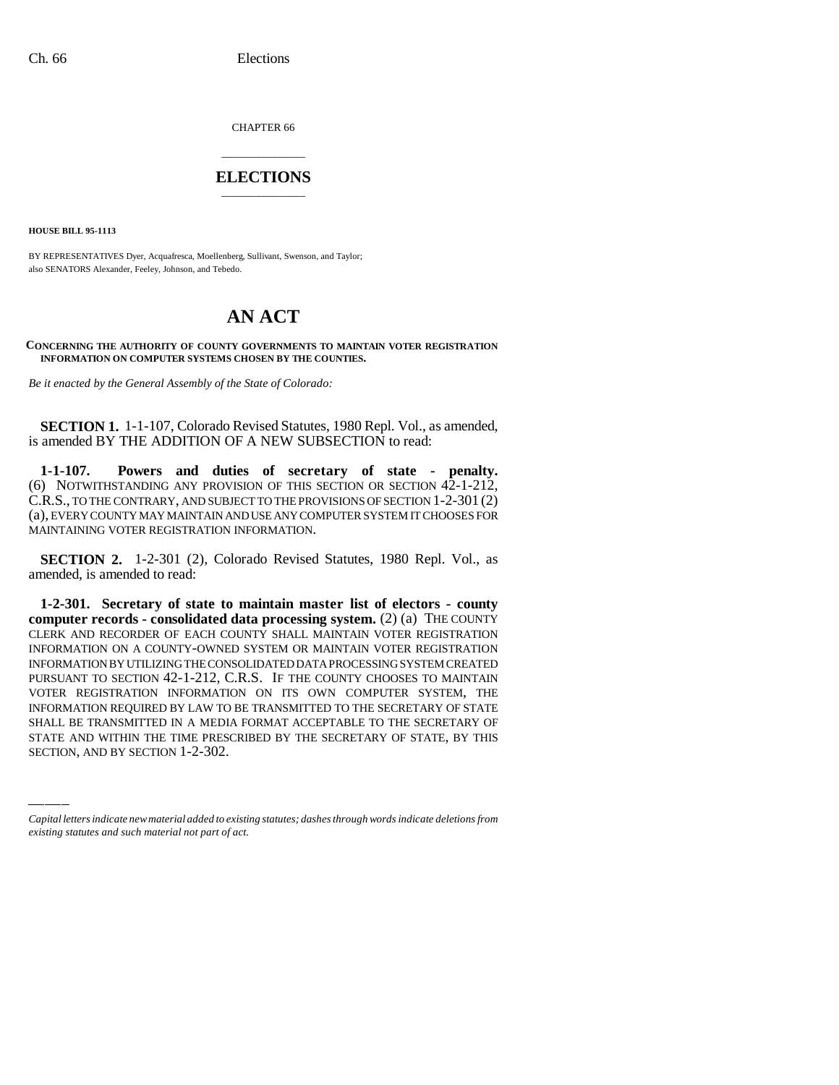CHAPTER 66

## \_\_\_\_\_\_\_\_\_\_\_\_\_\_\_ **ELECTIONS** \_\_\_\_\_\_\_\_\_\_\_\_\_\_\_

**HOUSE BILL 95-1113**

BY REPRESENTATIVES Dyer, Acquafresca, Moellenberg, Sullivant, Swenson, and Taylor; also SENATORS Alexander, Feeley, Johnson, and Tebedo.

## **AN ACT**

## **CONCERNING THE AUTHORITY OF COUNTY GOVERNMENTS TO MAINTAIN VOTER REGISTRATION INFORMATION ON COMPUTER SYSTEMS CHOSEN BY THE COUNTIES.**

*Be it enacted by the General Assembly of the State of Colorado:*

**SECTION 1.** 1-1-107, Colorado Revised Statutes, 1980 Repl. Vol., as amended, is amended BY THE ADDITION OF A NEW SUBSECTION to read:

**1-1-107. Powers and duties of secretary of state - penalty.** (6) NOTWITHSTANDING ANY PROVISION OF THIS SECTION OR SECTION 42-1-212, C.R.S., TO THE CONTRARY, AND SUBJECT TO THE PROVISIONS OF SECTION 1-2-301 (2) (a), EVERY COUNTY MAY MAINTAIN AND USE ANY COMPUTER SYSTEM IT CHOOSES FOR MAINTAINING VOTER REGISTRATION INFORMATION.

**SECTION 2.** 1-2-301 (2), Colorado Revised Statutes, 1980 Repl. Vol., as amended, is amended to read:

INFORMATION REQUIRED BY LAW TO BE TRANSMITTED TO THE SECRETARY OF STATE **1-2-301. Secretary of state to maintain master list of electors - county computer records - consolidated data processing system.** (2) (a) THE COUNTY CLERK AND RECORDER OF EACH COUNTY SHALL MAINTAIN VOTER REGISTRATION INFORMATION ON A COUNTY-OWNED SYSTEM OR MAINTAIN VOTER REGISTRATION INFORMATION BY UTILIZING THE CONSOLIDATED DATA PROCESSING SYSTEM CREATED PURSUANT TO SECTION 42-1-212, C.R.S. IF THE COUNTY CHOOSES TO MAINTAIN VOTER REGISTRATION INFORMATION ON ITS OWN COMPUTER SYSTEM, THE SHALL BE TRANSMITTED IN A MEDIA FORMAT ACCEPTABLE TO THE SECRETARY OF STATE AND WITHIN THE TIME PRESCRIBED BY THE SECRETARY OF STATE, BY THIS SECTION, AND BY SECTION 1-2-302.

*Capital letters indicate new material added to existing statutes; dashes through words indicate deletions from existing statutes and such material not part of act.*